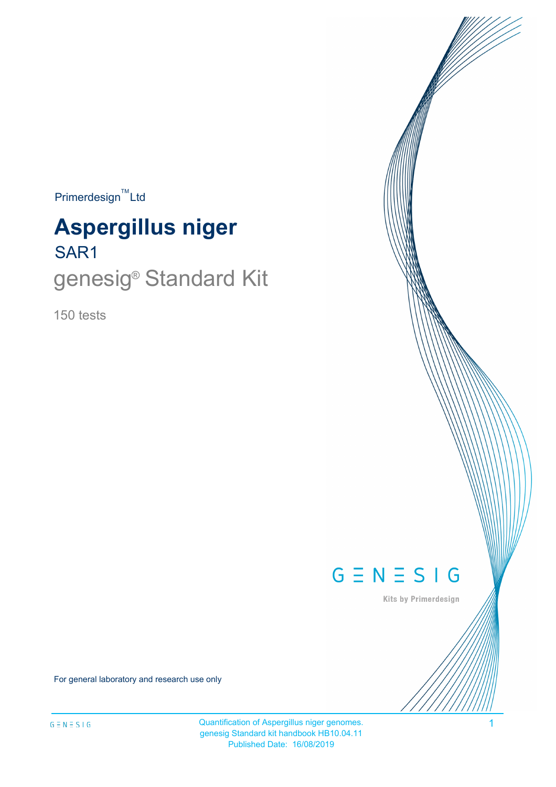$Primerdesign^{\text{TM}}$ Ltd

# SAR1 **Aspergillus niger**

# genesig<sup>®</sup> Standard Kit

150 tests



Kits by Primerdesign

For general laboratory and research use only

Quantification of Aspergillus niger genomes. 4 genesig Standard kit handbook HB10.04.11 Published Date: 16/08/2019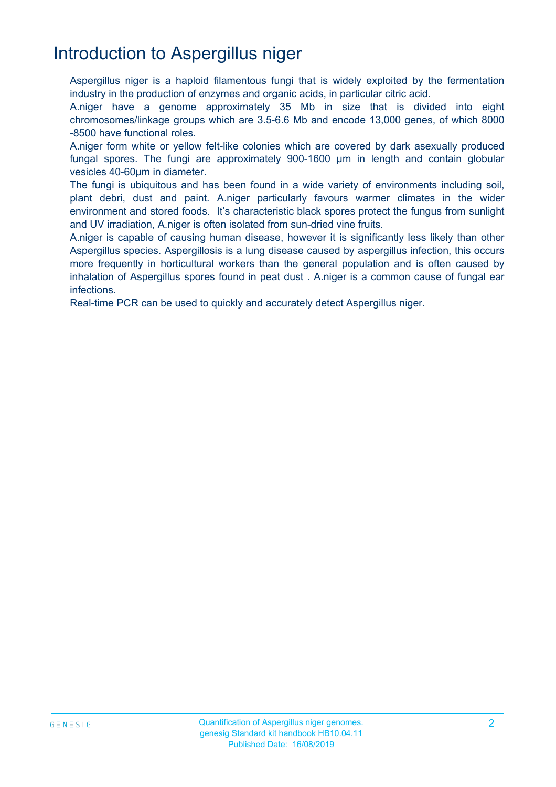### Introduction to Aspergillus niger

Aspergillus niger is a haploid filamentous fungi that is widely exploited by the fermentation industry in the production of enzymes and organic acids, in particular citric acid.

A.niger have a genome approximately 35 Mb in size that is divided into eight chromosomes/linkage groups which are 3.5-6.6 Mb and encode 13,000 genes, of which 8000 -8500 have functional roles.

A.niger form white or yellow felt-like colonies which are covered by dark asexually produced fungal spores. The fungi are approximately 900-1600 µm in length and contain globular vesicles 40-60µm in diameter.

The fungi is ubiquitous and has been found in a wide variety of environments including soil, plant debri, dust and paint. A.niger particularly favours warmer climates in the wider environment and stored foods. It's characteristic black spores protect the fungus from sunlight and UV irradiation, A.niger is often isolated from sun-dried vine fruits.

A.niger is capable of causing human disease, however it is significantly less likely than other Aspergillus species. Aspergillosis is a lung disease caused by aspergillus infection, this occurs more frequently in horticultural workers than the general population and is often caused by inhalation of Aspergillus spores found in peat dust . A.niger is a common cause of fungal ear infections.

Real-time PCR can be used to quickly and accurately detect Aspergillus niger.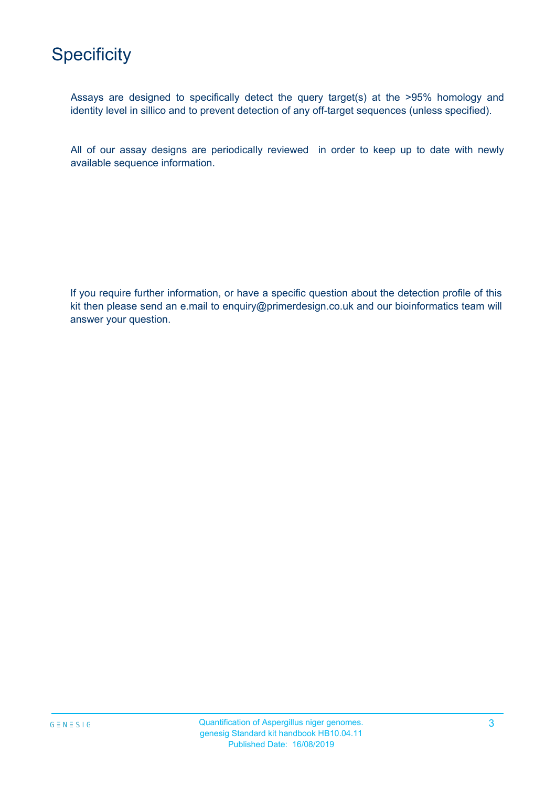

Assays are designed to specifically detect the query target(s) at the >95% homology and identity level in sillico and to prevent detection of any off-target sequences (unless specified).

All of our assay designs are periodically reviewed in order to keep up to date with newly available sequence information.

If you require further information, or have a specific question about the detection profile of this kit then please send an e.mail to enquiry@primerdesign.co.uk and our bioinformatics team will answer your question.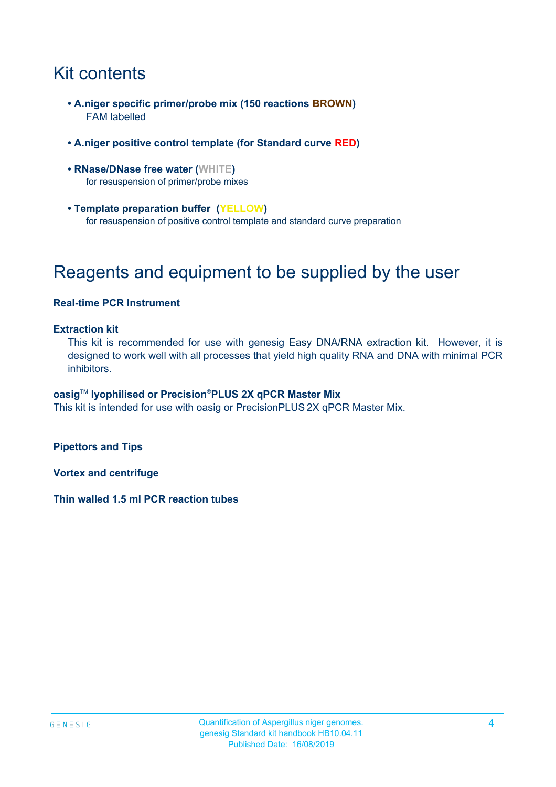### Kit contents

- **A.niger specific primer/probe mix (150 reactions BROWN)** FAM labelled
- **A.niger positive control template (for Standard curve RED)**
- **RNase/DNase free water (WHITE)** for resuspension of primer/probe mixes
- **Template preparation buffer (YELLOW)** for resuspension of positive control template and standard curve preparation

### Reagents and equipment to be supplied by the user

#### **Real-time PCR Instrument**

#### **Extraction kit**

This kit is recommended for use with genesig Easy DNA/RNA extraction kit. However, it is designed to work well with all processes that yield high quality RNA and DNA with minimal PCR inhibitors.

#### **oasig**TM **lyophilised or Precision**®**PLUS 2X qPCR Master Mix**

This kit is intended for use with oasig or PrecisionPLUS 2X qPCR Master Mix.

**Pipettors and Tips**

**Vortex and centrifuge**

**Thin walled 1.5 ml PCR reaction tubes**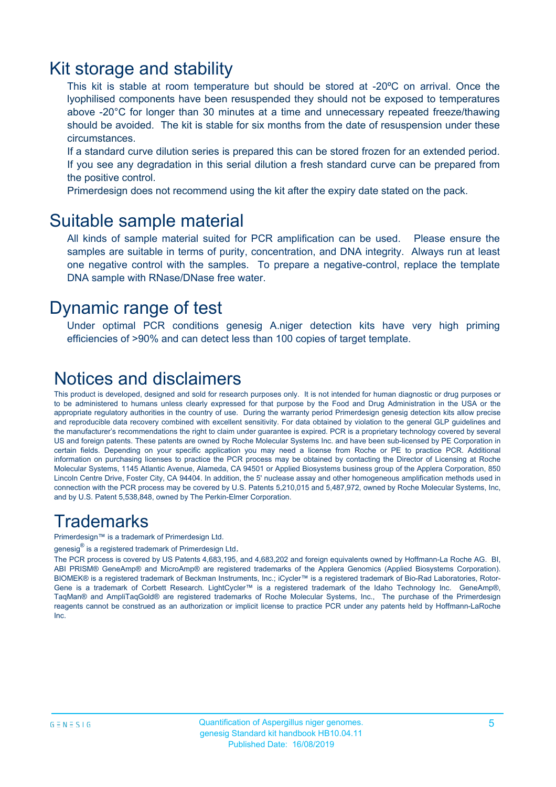### Kit storage and stability

This kit is stable at room temperature but should be stored at -20ºC on arrival. Once the lyophilised components have been resuspended they should not be exposed to temperatures above -20°C for longer than 30 minutes at a time and unnecessary repeated freeze/thawing should be avoided. The kit is stable for six months from the date of resuspension under these circumstances.

If a standard curve dilution series is prepared this can be stored frozen for an extended period. If you see any degradation in this serial dilution a fresh standard curve can be prepared from the positive control.

Primerdesign does not recommend using the kit after the expiry date stated on the pack.

#### Suitable sample material

All kinds of sample material suited for PCR amplification can be used. Please ensure the samples are suitable in terms of purity, concentration, and DNA integrity. Always run at least one negative control with the samples. To prepare a negative-control, replace the template DNA sample with RNase/DNase free water.

#### Dynamic range of test

Under optimal PCR conditions genesig A.niger detection kits have very high priming efficiencies of >90% and can detect less than 100 copies of target template.

### Notices and disclaimers

This product is developed, designed and sold for research purposes only. It is not intended for human diagnostic or drug purposes or to be administered to humans unless clearly expressed for that purpose by the Food and Drug Administration in the USA or the appropriate regulatory authorities in the country of use. During the warranty period Primerdesign genesig detection kits allow precise and reproducible data recovery combined with excellent sensitivity. For data obtained by violation to the general GLP guidelines and the manufacturer's recommendations the right to claim under guarantee is expired. PCR is a proprietary technology covered by several US and foreign patents. These patents are owned by Roche Molecular Systems Inc. and have been sub-licensed by PE Corporation in certain fields. Depending on your specific application you may need a license from Roche or PE to practice PCR. Additional information on purchasing licenses to practice the PCR process may be obtained by contacting the Director of Licensing at Roche Molecular Systems, 1145 Atlantic Avenue, Alameda, CA 94501 or Applied Biosystems business group of the Applera Corporation, 850 Lincoln Centre Drive, Foster City, CA 94404. In addition, the 5' nuclease assay and other homogeneous amplification methods used in connection with the PCR process may be covered by U.S. Patents 5,210,015 and 5,487,972, owned by Roche Molecular Systems, Inc, and by U.S. Patent 5,538,848, owned by The Perkin-Elmer Corporation.

### **Trademarks**

Primerdesign™ is a trademark of Primerdesign Ltd.

genesig $^\circledR$  is a registered trademark of Primerdesign Ltd.

The PCR process is covered by US Patents 4,683,195, and 4,683,202 and foreign equivalents owned by Hoffmann-La Roche AG. BI, ABI PRISM® GeneAmp® and MicroAmp® are registered trademarks of the Applera Genomics (Applied Biosystems Corporation). BIOMEK® is a registered trademark of Beckman Instruments, Inc.; iCycler™ is a registered trademark of Bio-Rad Laboratories, Rotor-Gene is a trademark of Corbett Research. LightCycler™ is a registered trademark of the Idaho Technology Inc. GeneAmp®, TaqMan® and AmpliTaqGold® are registered trademarks of Roche Molecular Systems, Inc., The purchase of the Primerdesign reagents cannot be construed as an authorization or implicit license to practice PCR under any patents held by Hoffmann-LaRoche Inc.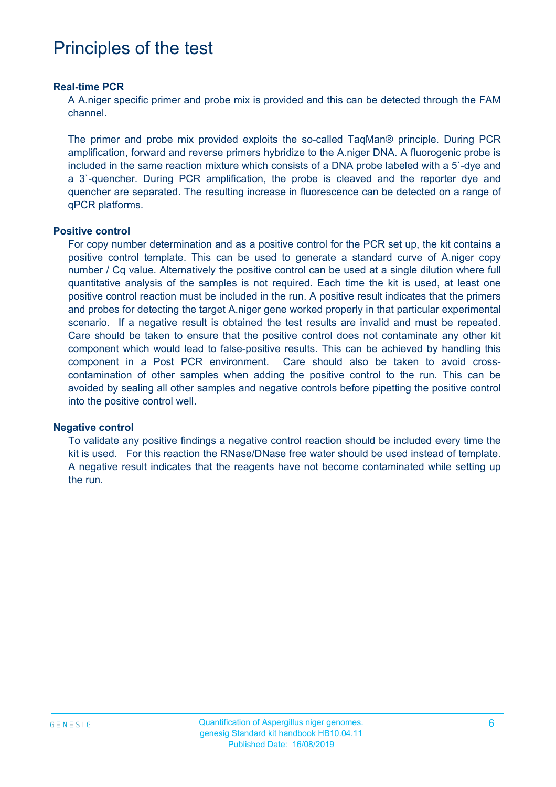### Principles of the test

#### **Real-time PCR**

A A.niger specific primer and probe mix is provided and this can be detected through the FAM channel.

The primer and probe mix provided exploits the so-called TaqMan® principle. During PCR amplification, forward and reverse primers hybridize to the A.niger DNA. A fluorogenic probe is included in the same reaction mixture which consists of a DNA probe labeled with a 5`-dye and a 3`-quencher. During PCR amplification, the probe is cleaved and the reporter dye and quencher are separated. The resulting increase in fluorescence can be detected on a range of qPCR platforms.

#### **Positive control**

For copy number determination and as a positive control for the PCR set up, the kit contains a positive control template. This can be used to generate a standard curve of A.niger copy number / Cq value. Alternatively the positive control can be used at a single dilution where full quantitative analysis of the samples is not required. Each time the kit is used, at least one positive control reaction must be included in the run. A positive result indicates that the primers and probes for detecting the target A.niger gene worked properly in that particular experimental scenario. If a negative result is obtained the test results are invalid and must be repeated. Care should be taken to ensure that the positive control does not contaminate any other kit component which would lead to false-positive results. This can be achieved by handling this component in a Post PCR environment. Care should also be taken to avoid crosscontamination of other samples when adding the positive control to the run. This can be avoided by sealing all other samples and negative controls before pipetting the positive control into the positive control well.

#### **Negative control**

To validate any positive findings a negative control reaction should be included every time the kit is used. For this reaction the RNase/DNase free water should be used instead of template. A negative result indicates that the reagents have not become contaminated while setting up the run.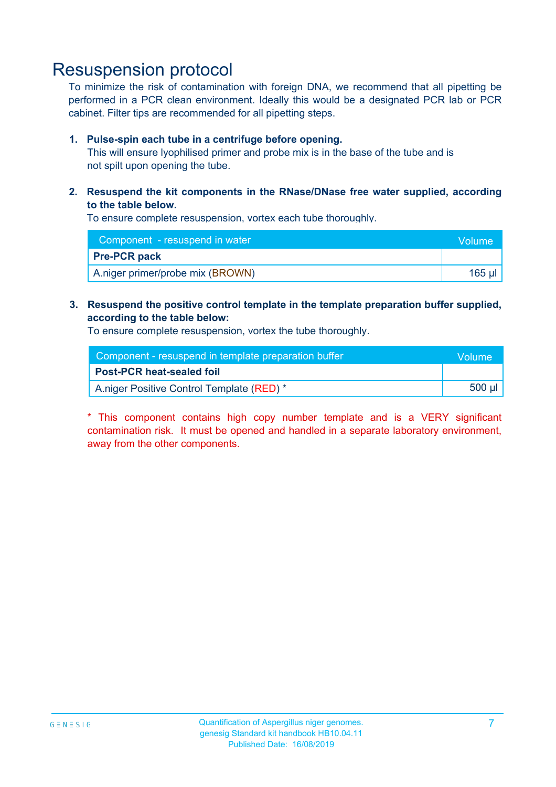### Resuspension protocol

To minimize the risk of contamination with foreign DNA, we recommend that all pipetting be performed in a PCR clean environment. Ideally this would be a designated PCR lab or PCR cabinet. Filter tips are recommended for all pipetting steps.

#### **1. Pulse-spin each tube in a centrifuge before opening.**

This will ensure lyophilised primer and probe mix is in the base of the tube and is not spilt upon opening the tube.

#### **2. Resuspend the kit components in the RNase/DNase free water supplied, according to the table below.**

To ensure complete resuspension, vortex each tube thoroughly.

| Component - resuspend in water   | Volume |
|----------------------------------|--------|
| <b>Pre-PCR pack</b>              |        |
| A.niger primer/probe mix (BROWN) | 165 ul |

#### **3. Resuspend the positive control template in the template preparation buffer supplied, according to the table below:**

To ensure complete resuspension, vortex the tube thoroughly.

| Component - resuspend in template preparation buffer |        |  |
|------------------------------------------------------|--------|--|
| <b>Post-PCR heat-sealed foil</b>                     |        |  |
| A.niger Positive Control Template (RED) *            | 500 µl |  |

\* This component contains high copy number template and is a VERY significant contamination risk. It must be opened and handled in a separate laboratory environment, away from the other components.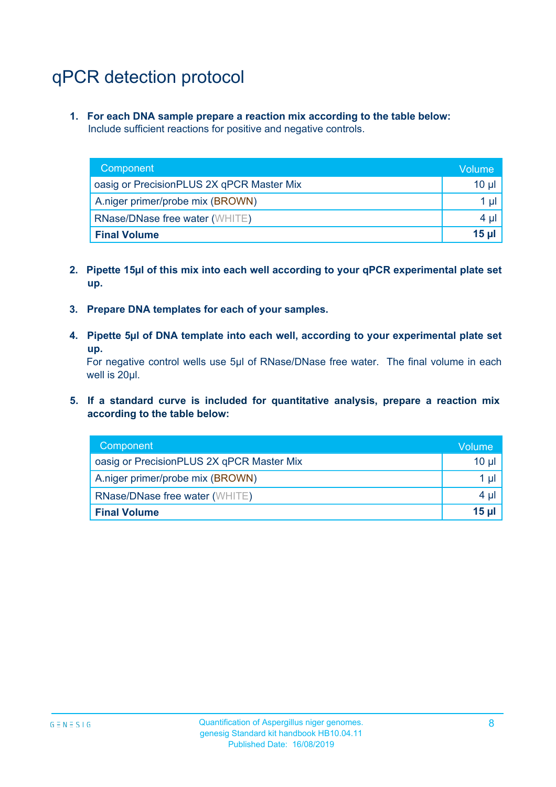## qPCR detection protocol

**1. For each DNA sample prepare a reaction mix according to the table below:** Include sufficient reactions for positive and negative controls.

| Component                                 | lVolume' |
|-------------------------------------------|----------|
| oasig or PrecisionPLUS 2X qPCR Master Mix | $10 \mu$ |
| A.niger primer/probe mix (BROWN)          | $1 \mu$  |
| <b>RNase/DNase free water (WHITE)</b>     | $4 \mu$  |
| <b>Final Volume</b>                       | 15 µl    |

- **2. Pipette 15µl of this mix into each well according to your qPCR experimental plate set up.**
- **3. Prepare DNA templates for each of your samples.**
- **4. Pipette 5µl of DNA template into each well, according to your experimental plate set up.**

For negative control wells use 5µl of RNase/DNase free water. The final volume in each well is 20µl.

**5. If a standard curve is included for quantitative analysis, prepare a reaction mix according to the table below:**

| Component                                 | \Volume\ |
|-------------------------------------------|----------|
| oasig or PrecisionPLUS 2X qPCR Master Mix | $10 \mu$ |
| A.niger primer/probe mix (BROWN)          | $1 \mu$  |
| <b>RNase/DNase free water (WHITE)</b>     | $4 \mu$  |
| <b>Final Volume</b>                       | 15 µl    |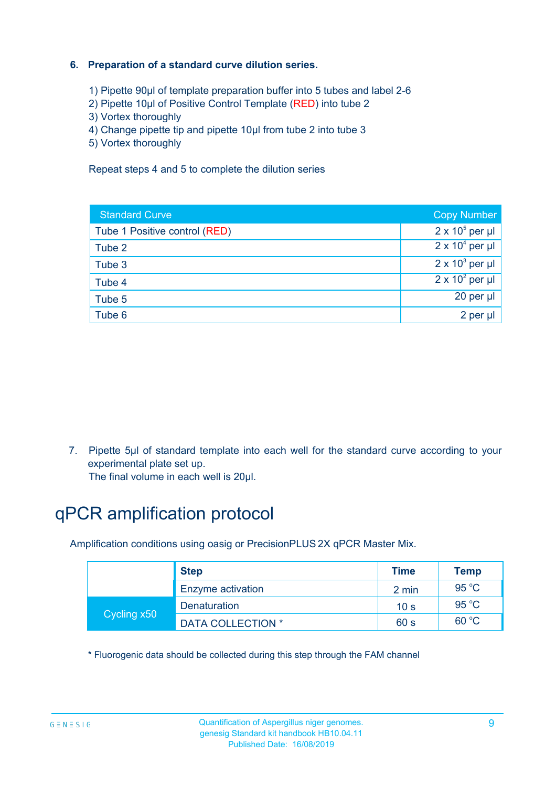#### **6. Preparation of a standard curve dilution series.**

- 1) Pipette 90µl of template preparation buffer into 5 tubes and label 2-6
- 2) Pipette 10µl of Positive Control Template (RED) into tube 2
- 3) Vortex thoroughly
- 4) Change pipette tip and pipette 10µl from tube 2 into tube 3
- 5) Vortex thoroughly

Repeat steps 4 and 5 to complete the dilution series

| <b>Standard Curve</b>         | <b>Copy Number</b>     |
|-------------------------------|------------------------|
| Tube 1 Positive control (RED) | $2 \times 10^5$ per µl |
| Tube 2                        | $2 \times 10^4$ per µl |
| Tube 3                        | $2 \times 10^3$ per µl |
| Tube 4                        | $2 \times 10^2$ per µl |
| Tube 5                        | 20 per µl              |
| Tube 6                        | 2 per µl               |

7. Pipette 5µl of standard template into each well for the standard curve according to your experimental plate set up.

The final volume in each well is 20µl.

### qPCR amplification protocol

Amplification conditions using oasig or PrecisionPLUS 2X qPCR Master Mix.

|             | <b>Step</b>              | <b>Time</b>     | <b>Temp</b>    |
|-------------|--------------------------|-----------------|----------------|
|             | Enzyme activation        | 2 min           | $95^{\circ}$ C |
| Cycling x50 | <b>Denaturation</b>      | 10 <sub>s</sub> | 95 $°C$        |
|             | <b>DATA COLLECTION *</b> | 60 s            | 60 °C          |

\* Fluorogenic data should be collected during this step through the FAM channel